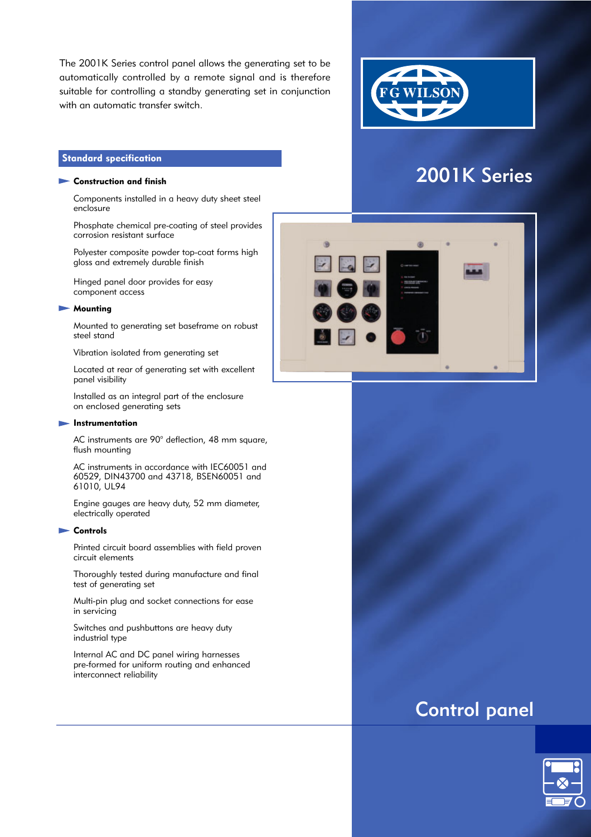The 2001K Series control panel allows the generating set to be automatically controlled by a remote signal and is therefore suitable for controlling a standby generating set in conjunction with an automatic transfer switch.



2001K Series

# Standard specification

# Construction and finish

Components installed in a heavy duty sheet steel enclosure

Phosphate chemical pre-coating of steel provides corrosion resistant surface

Polyester composite powder top-coat forms high gloss and extremely durable finish

Hinged panel door provides for easy component access

#### **Mounting**

Mounted to generating set baseframe on robust steel stand

Vibration isolated from generating set

Located at rear of generating set with excellent panel visibility

Installed as an integral part of the enclosure on enclosed generating sets

#### **Instrumentation**

AC instruments are 90° deflection, 48 mm square, flush mounting

AC instruments in accordance with IEC60051 and 60529, DIN43700 and 43718, BSEN60051 and 61010, UL94

Engine gauges are heavy duty, 52 mm diameter, electrically operated

#### **Controls**

Printed circuit board assemblies with field proven circuit elements

Thoroughly tested during manufacture and final test of generating set

Multi-pin plug and socket connections for ease in servicing

Switches and pushbuttons are heavy duty industrial type

Internal AC and DC panel wiring harnesses pre-formed for uniform routing and enhanced interconnect reliability



# Control panel